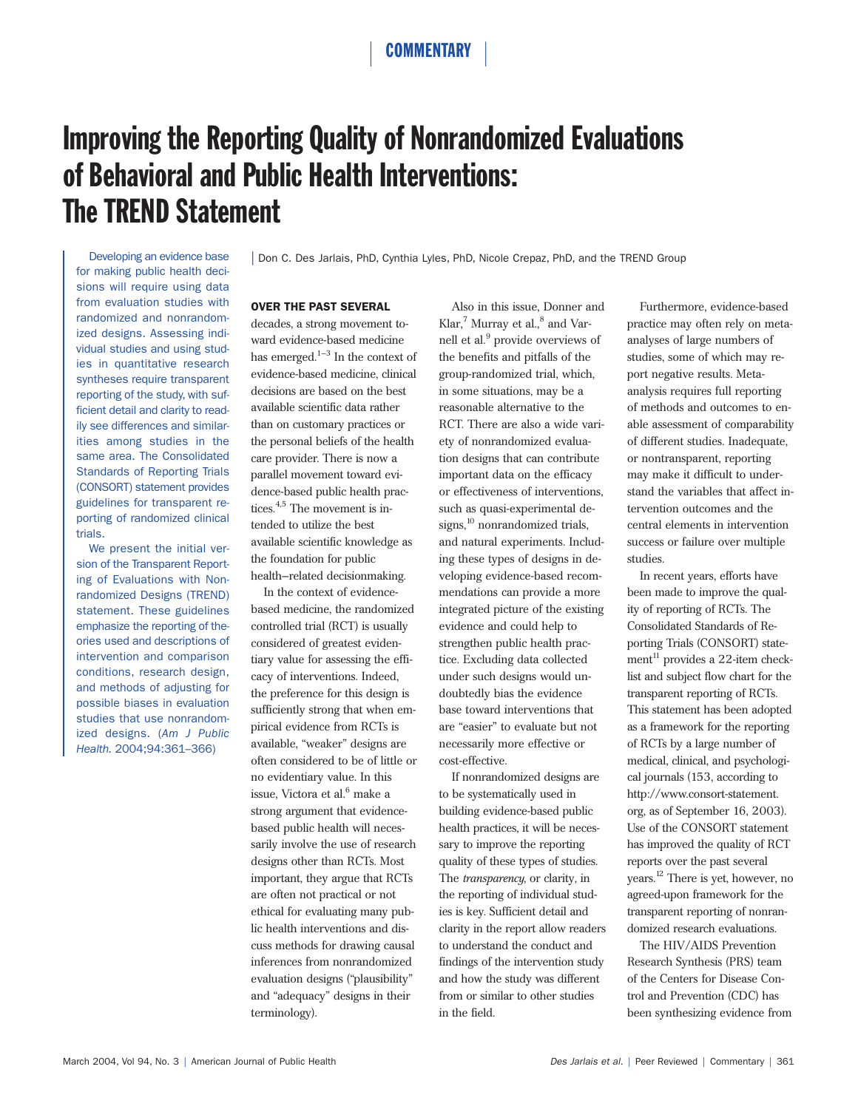# Improving the Reporting Quality of Nonrandomized Evaluations of Behavioral and Public Health Interventions: The TREND Statement

Developing an evidence base | Don C. Des Jarlais, PhD, Cynthia Lyles, PhD, Nicole Crepaz, PhD, and the TREND Group

for making public health decisions will require using data from evaluation studies with randomized and nonrandomized designs. Assessing individual studies and using studies in quantitative research syntheses require transparent reporting of the study, with sufficient detail and clarity to readily see differences and similarities among studies in the same area. The Consolidated Standards of Reporting Trials (CONSORT) statement provides guidelines for transparent reporting of randomized clinical trials.

We present the initial version of the Transparent Reporting of Evaluations with Nonrandomized Designs (TREND) statement. These guidelines emphasize the reporting of theories used and descriptions of intervention and comparison conditions, research design, and methods of adjusting for possible biases in evaluation studies that use nonrandomized designs. (*Am J Public Health.* 2004;94:361–366)

### OVER THE PAST SEVERAL

decades, a strong movement toward evidence-based medicine has emerged. $1-3$  In the context of evidence-based medicine, clinical decisions are based on the best available scientific data rather than on customary practices or the personal beliefs of the health care provider. There is now a parallel movement toward evidence-based public health practices.<sup>4,5</sup> The movement is intended to utilize the best available scientific knowledge as the foundation for public health–related decisionmaking.

In the context of evidencebased medicine, the randomized controlled trial (RCT) is usually considered of greatest evidentiary value for assessing the efficacy of interventions. Indeed, the preference for this design is sufficiently strong that when empirical evidence from RCTs is available, "weaker" designs are often considered to be of little or no evidentiary value. In this issue, Victora et al.<sup>6</sup> make a strong argument that evidencebased public health will necessarily involve the use of research designs other than RCTs. Most important, they argue that RCTs are often not practical or not ethical for evaluating many public health interventions and discuss methods for drawing causal inferences from nonrandomized evaluation designs ("plausibility" and "adequacy" designs in their terminology).

Also in this issue, Donner and Klar,<sup>7</sup> Murray et al.,<sup>8</sup> and Varnell et al.<sup>9</sup> provide overviews of the benefits and pitfalls of the group-randomized trial, which, in some situations, may be a reasonable alternative to the RCT. There are also a wide variety of nonrandomized evaluation designs that can contribute important data on the efficacy or effectiveness of interventions, such as quasi-experimental designs, $^{10}$  nonrandomized trials, and natural experiments. Including these types of designs in developing evidence-based recommendations can provide a more integrated picture of the existing evidence and could help to strengthen public health practice. Excluding data collected under such designs would undoubtedly bias the evidence base toward interventions that are "easier" to evaluate but not necessarily more effective or cost-effective.

If nonrandomized designs are to be systematically used in building evidence-based public health practices, it will be necessary to improve the reporting quality of these types of studies. The *transparency*, or clarity, in the reporting of individual studies is key. Sufficient detail and clarity in the report allow readers to understand the conduct and findings of the intervention study and how the study was different from or similar to other studies in the field.

Furthermore, evidence-based practice may often rely on metaanalyses of large numbers of studies, some of which may report negative results. Metaanalysis requires full reporting of methods and outcomes to enable assessment of comparability of different studies. Inadequate, or nontransparent, reporting may make it difficult to understand the variables that affect intervention outcomes and the central elements in intervention success or failure over multiple studies.

In recent years, efforts have been made to improve the quality of reporting of RCTs. The Consolidated Standards of Reporting Trials (CONSORT) state $ment<sup>11</sup>$  provides a 22-item checklist and subject flow chart for the transparent reporting of RCTs. This statement has been adopted as a framework for the reporting of RCTs by a large number of medical, clinical, and psychological journals (153, according to http://www.consort-statement. org, as of September 16, 2003). Use of the CONSORT statement has improved the quality of RCT reports over the past several years.<sup>12</sup> There is yet, however, no agreed-upon framework for the transparent reporting of nonrandomized research evaluations.

The HIV/AIDS Prevention Research Synthesis (PRS) team of the Centers for Disease Control and Prevention (CDC) has been synthesizing evidence from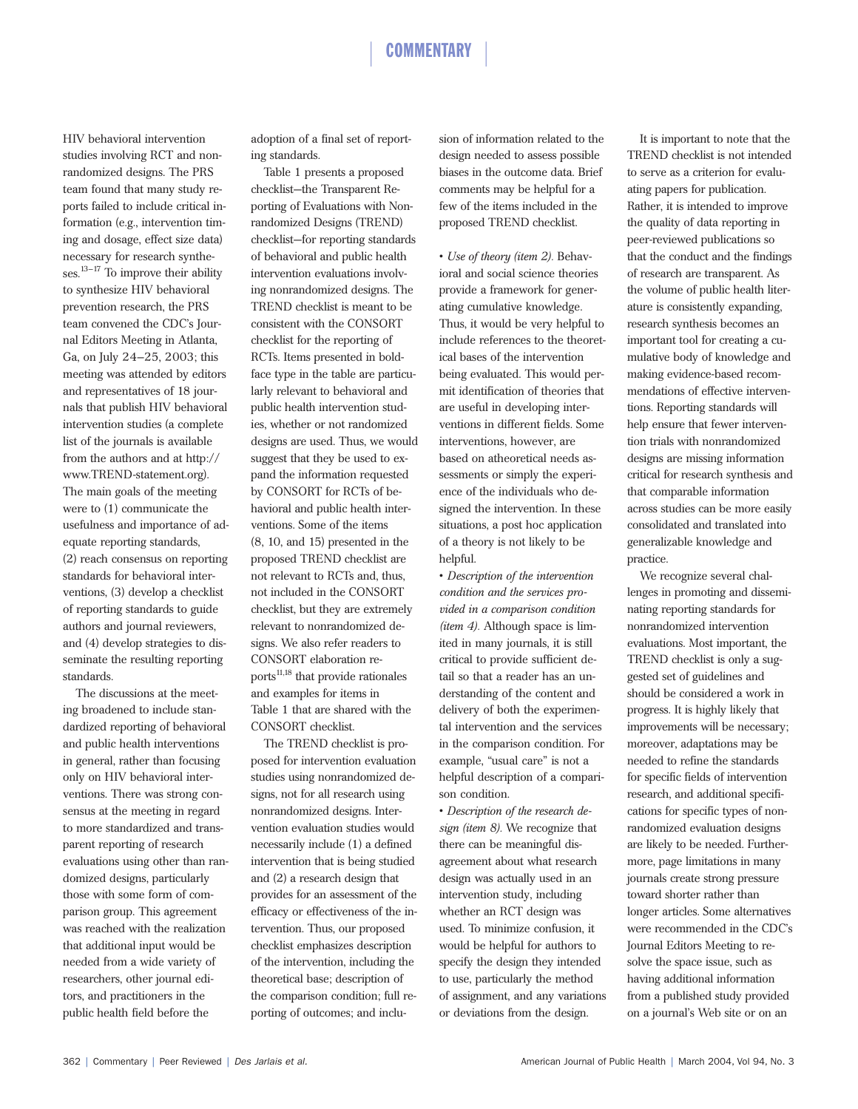HIV behavioral intervention studies involving RCT and nonrandomized designs. The PRS team found that many study reports failed to include critical information (e.g., intervention timing and dosage, effect size data) necessary for research syntheses.<sup>13-17</sup> To improve their ability to synthesize HIV behavioral prevention research, the PRS team convened the CDC's Journal Editors Meeting in Atlanta, Ga, on July 24–25, 2003; this meeting was attended by editors and representatives of 18 journals that publish HIV behavioral intervention studies (a complete list of the journals is available from the authors and at http:// www.TREND-statement.org). The main goals of the meeting were to (1) communicate the usefulness and importance of adequate reporting standards, (2) reach consensus on reporting standards for behavioral interventions, (3) develop a checklist of reporting standards to guide authors and journal reviewers, and (4) develop strategies to disseminate the resulting reporting standards.

The discussions at the meeting broadened to include standardized reporting of behavioral and public health interventions in general, rather than focusing only on HIV behavioral interventions. There was strong consensus at the meeting in regard to more standardized and transparent reporting of research evaluations using other than randomized designs, particularly those with some form of comparison group. This agreement was reached with the realization that additional input would be needed from a wide variety of researchers, other journal editors, and practitioners in the public health field before the

adoption of a final set of reporting standards.

Table 1 presents a proposed checklist—the Transparent Reporting of Evaluations with Nonrandomized Designs (TREND) checklist—for reporting standards of behavioral and public health intervention evaluations involving nonrandomized designs. The TREND checklist is meant to be consistent with the CONSORT checklist for the reporting of RCTs. Items presented in boldface type in the table are particularly relevant to behavioral and public health intervention studies, whether or not randomized designs are used. Thus, we would suggest that they be used to expand the information requested by CONSORT for RCTs of behavioral and public health interventions. Some of the items (8, 10, and 15) presented in the proposed TREND checklist are not relevant to RCTs and, thus, not included in the CONSORT checklist, but they are extremely relevant to nonrandomized designs. We also refer readers to CONSORT elaboration re $ports^{11,18}$  that provide rationales and examples for items in Table 1 that are shared with the CONSORT checklist.

The TREND checklist is proposed for intervention evaluation studies using nonrandomized designs, not for all research using nonrandomized designs. Intervention evaluation studies would necessarily include (1) a defined intervention that is being studied and (2) a research design that provides for an assessment of the efficacy or effectiveness of the intervention. Thus, our proposed checklist emphasizes description of the intervention, including the theoretical base; description of the comparison condition; full reporting of outcomes; and inclusion of information related to the design needed to assess possible biases in the outcome data. Brief comments may be helpful for a few of the items included in the proposed TREND checklist.

• *Use of theory (item 2).* Behavioral and social science theories provide a framework for generating cumulative knowledge. Thus, it would be very helpful to include references to the theoretical bases of the intervention being evaluated. This would permit identification of theories that are useful in developing interventions in different fields. Some interventions, however, are based on atheoretical needs assessments or simply the experience of the individuals who designed the intervention. In these situations, a post hoc application of a theory is not likely to be helpful.

• *Description of the intervention condition and the services provided in a comparison condition (item 4).* Although space is limited in many journals, it is still critical to provide sufficient detail so that a reader has an understanding of the content and delivery of both the experimental intervention and the services in the comparison condition. For example, "usual care" is not a helpful description of a comparison condition.

• *Description of the research design (item 8).* We recognize that there can be meaningful disagreement about what research design was actually used in an intervention study, including whether an RCT design was used. To minimize confusion, it would be helpful for authors to specify the design they intended to use, particularly the method of assignment, and any variations or deviations from the design.

It is important to note that the TREND checklist is not intended to serve as a criterion for evaluating papers for publication. Rather, it is intended to improve the quality of data reporting in peer-reviewed publications so that the conduct and the findings of research are transparent. As the volume of public health literature is consistently expanding, research synthesis becomes an important tool for creating a cumulative body of knowledge and making evidence-based recommendations of effective interventions. Reporting standards will help ensure that fewer intervention trials with nonrandomized designs are missing information critical for research synthesis and that comparable information across studies can be more easily consolidated and translated into generalizable knowledge and practice.

We recognize several challenges in promoting and disseminating reporting standards for nonrandomized intervention evaluations. Most important, the TREND checklist is only a suggested set of guidelines and should be considered a work in progress. It is highly likely that improvements will be necessary; moreover, adaptations may be needed to refine the standards for specific fields of intervention research, and additional specifications for specific types of nonrandomized evaluation designs are likely to be needed. Furthermore, page limitations in many journals create strong pressure toward shorter rather than longer articles. Some alternatives were recommended in the CDC's Journal Editors Meeting to resolve the space issue, such as having additional information from a published study provided on a journal's Web site or on an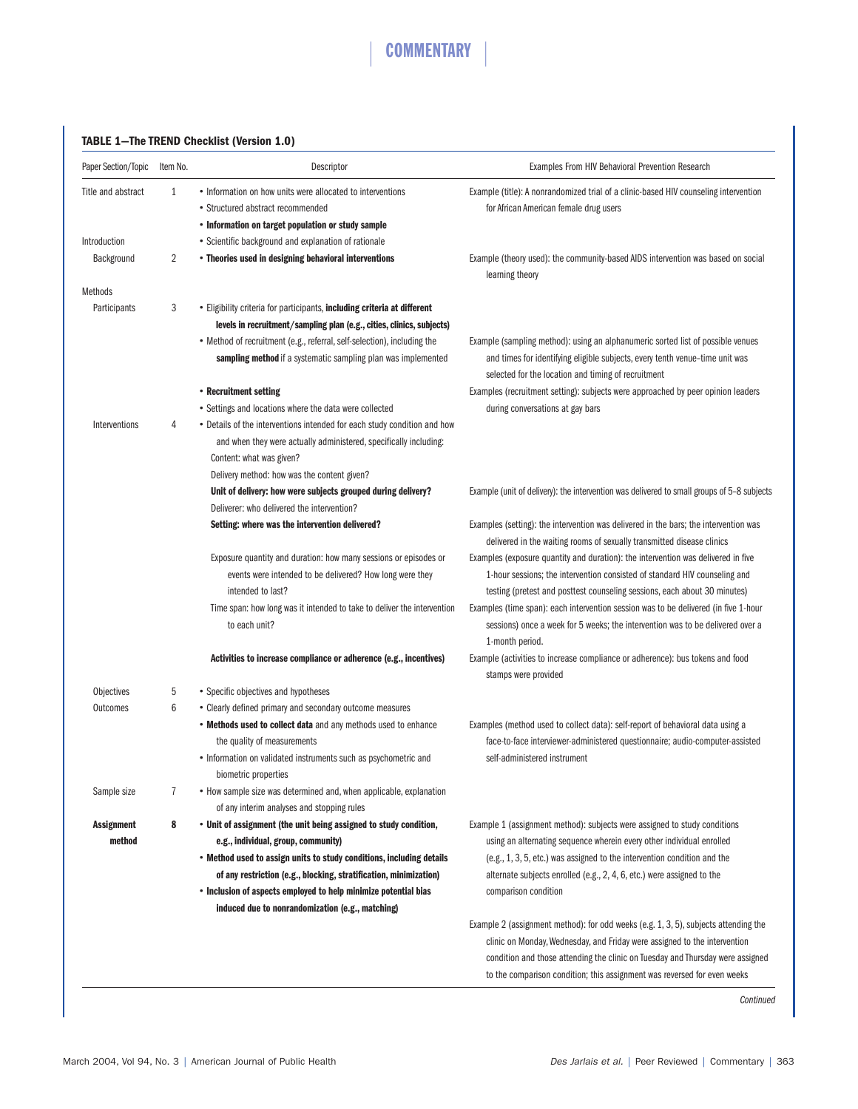

## **TABLE 1—The TREND Checklist (Version 1.0)**

| Paper Section/Topic         | Item No.     | Descriptor                                                                                                                                                                                                                                                                                    | Examples From HIV Behavioral Prevention Research                                                                                                                                                                                                                                                                               |
|-----------------------------|--------------|-----------------------------------------------------------------------------------------------------------------------------------------------------------------------------------------------------------------------------------------------------------------------------------------------|--------------------------------------------------------------------------------------------------------------------------------------------------------------------------------------------------------------------------------------------------------------------------------------------------------------------------------|
| Title and abstract          | $\mathbf{1}$ | • Information on how units were allocated to interventions<br>• Structured abstract recommended<br>• Information on target population or study sample                                                                                                                                         | Example (title): A nonrandomized trial of a clinic-based HIV counseling intervention<br>for African American female drug users                                                                                                                                                                                                 |
| Introduction                |              | • Scientific background and explanation of rationale                                                                                                                                                                                                                                          |                                                                                                                                                                                                                                                                                                                                |
| Background                  | 2            | • Theories used in designing behavioral interventions                                                                                                                                                                                                                                         | Example (theory used): the community-based AIDS intervention was based on social<br>learning theory                                                                                                                                                                                                                            |
| Methods                     |              |                                                                                                                                                                                                                                                                                               |                                                                                                                                                                                                                                                                                                                                |
| Participants                | 3            | . Eligibility criteria for participants, including criteria at different<br>levels in recruitment/sampling plan (e.g., cities, clinics, subjects)<br>• Method of recruitment (e.g., referral, self-selection), including the<br>sampling method if a systematic sampling plan was implemented | Example (sampling method): using an alphanumeric sorted list of possible venues<br>and times for identifying eligible subjects, every tenth venue-time unit was<br>selected for the location and timing of recruitment                                                                                                         |
|                             |              | • Recruitment setting                                                                                                                                                                                                                                                                         | Examples (recruitment setting): subjects were approached by peer opinion leaders                                                                                                                                                                                                                                               |
| Interventions               | 4            | • Settings and locations where the data were collected<br>• Details of the interventions intended for each study condition and how<br>and when they were actually administered, specifically including:<br>Content: what was given?<br>Delivery method: how was the content given?            | during conversations at gay bars                                                                                                                                                                                                                                                                                               |
|                             |              | Unit of delivery: how were subjects grouped during delivery?                                                                                                                                                                                                                                  | Example (unit of delivery): the intervention was delivered to small groups of 5-8 subjects                                                                                                                                                                                                                                     |
|                             |              | Deliverer: who delivered the intervention?                                                                                                                                                                                                                                                    |                                                                                                                                                                                                                                                                                                                                |
|                             |              | Setting: where was the intervention delivered?                                                                                                                                                                                                                                                | Examples (setting): the intervention was delivered in the bars; the intervention was<br>delivered in the waiting rooms of sexually transmitted disease clinics                                                                                                                                                                 |
|                             |              | Exposure quantity and duration: how many sessions or episodes or<br>events were intended to be delivered? How long were they<br>intended to last?                                                                                                                                             | Examples (exposure quantity and duration): the intervention was delivered in five<br>1-hour sessions; the intervention consisted of standard HIV counseling and<br>testing (pretest and posttest counseling sessions, each about 30 minutes)                                                                                   |
|                             |              | Time span: how long was it intended to take to deliver the intervention<br>to each unit?                                                                                                                                                                                                      | Examples (time span): each intervention session was to be delivered (in five 1-hour<br>sessions) once a week for 5 weeks; the intervention was to be delivered over a<br>1-month period.                                                                                                                                       |
|                             |              | Activities to increase compliance or adherence (e.g., incentives)                                                                                                                                                                                                                             | Example (activities to increase compliance or adherence): bus tokens and food<br>stamps were provided                                                                                                                                                                                                                          |
| <b>Objectives</b>           | 5            | • Specific objectives and hypotheses                                                                                                                                                                                                                                                          |                                                                                                                                                                                                                                                                                                                                |
| Outcomes                    | 6            | • Clearly defined primary and secondary outcome measures                                                                                                                                                                                                                                      |                                                                                                                                                                                                                                                                                                                                |
|                             |              | • Methods used to collect data and any methods used to enhance<br>the quality of measurements<br>• Information on validated instruments such as psychometric and                                                                                                                              | Examples (method used to collect data): self-report of behavioral data using a<br>face-to-face interviewer-administered questionnaire; audio-computer-assisted<br>self-administered instrument                                                                                                                                 |
|                             |              | biometric properties                                                                                                                                                                                                                                                                          |                                                                                                                                                                                                                                                                                                                                |
| Sample size                 | 7            | • How sample size was determined and, when applicable, explanation<br>of any interim analyses and stopping rules                                                                                                                                                                              |                                                                                                                                                                                                                                                                                                                                |
| <b>Assignment</b><br>method | 8            | • Unit of assignment (the unit being assigned to study condition,<br>e.g., individual, group, community)                                                                                                                                                                                      | Example 1 (assignment method): subjects were assigned to study conditions<br>using an alternating sequence wherein every other individual enrolled                                                                                                                                                                             |
|                             |              | • Method used to assign units to study conditions, including details<br>of any restriction (e.g., blocking, stratification, minimization)                                                                                                                                                     | (e.g., 1, 3, 5, etc.) was assigned to the intervention condition and the<br>alternate subjects enrolled (e.g., 2, 4, 6, etc.) were assigned to the                                                                                                                                                                             |
|                             |              | • Inclusion of aspects employed to help minimize potential bias<br>induced due to nonrandomization (e.g., matching)                                                                                                                                                                           | comparison condition                                                                                                                                                                                                                                                                                                           |
|                             |              |                                                                                                                                                                                                                                                                                               | Example 2 (assignment method): for odd weeks (e.g. 1, 3, 5), subjects attending the<br>clinic on Monday, Wednesday, and Friday were assigned to the intervention<br>condition and those attending the clinic on Tuesday and Thursday were assigned<br>to the comparison condition; this assignment was reversed for even weeks |

*Continued*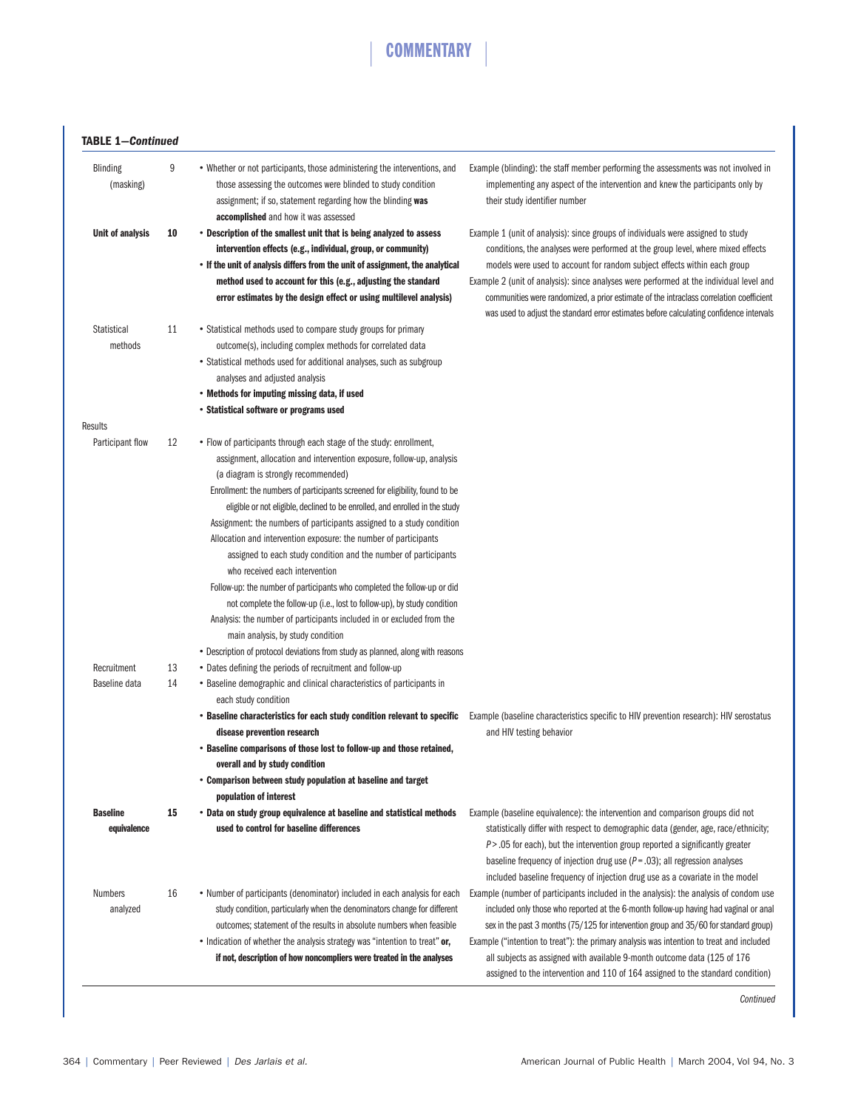# **COMMENTARY**

## **TABLE 1—***Continued*

| Blinding<br>(masking)                            | 9              | • Whether or not participants, those administering the interventions, and<br>those assessing the outcomes were blinded to study condition<br>assignment; if so, statement regarding how the blinding was<br>accomplished and how it was assessed                                                                                                                                                                                                                                                                                                                                                                                                                                                                                                                                                                                                                                                                                                                                                                                                                                                                              | Example (blinding): the staff member performing the assessments was not involved in<br>implementing any aspect of the intervention and knew the participants only by<br>their study identifier number                                                                                                                                                                                                                                                                                                                             |
|--------------------------------------------------|----------------|-------------------------------------------------------------------------------------------------------------------------------------------------------------------------------------------------------------------------------------------------------------------------------------------------------------------------------------------------------------------------------------------------------------------------------------------------------------------------------------------------------------------------------------------------------------------------------------------------------------------------------------------------------------------------------------------------------------------------------------------------------------------------------------------------------------------------------------------------------------------------------------------------------------------------------------------------------------------------------------------------------------------------------------------------------------------------------------------------------------------------------|-----------------------------------------------------------------------------------------------------------------------------------------------------------------------------------------------------------------------------------------------------------------------------------------------------------------------------------------------------------------------------------------------------------------------------------------------------------------------------------------------------------------------------------|
| <b>Unit of analysis</b>                          | 10             | • Description of the smallest unit that is being analyzed to assess<br>intervention effects (e.g., individual, group, or community)<br>• If the unit of analysis differs from the unit of assignment, the analytical<br>method used to account for this (e.g., adjusting the standard<br>error estimates by the design effect or using multilevel analysis)                                                                                                                                                                                                                                                                                                                                                                                                                                                                                                                                                                                                                                                                                                                                                                   | Example 1 (unit of analysis): since groups of individuals were assigned to study<br>conditions, the analyses were performed at the group level, where mixed effects<br>models were used to account for random subject effects within each group<br>Example 2 (unit of analysis): since analyses were performed at the individual level and<br>communities were randomized, a prior estimate of the intraclass correlation coefficient<br>was used to adjust the standard error estimates before calculating confidence intervals  |
| Statistical<br>methods                           | 11             | • Statistical methods used to compare study groups for primary<br>outcome(s), including complex methods for correlated data<br>• Statistical methods used for additional analyses, such as subgroup<br>analyses and adjusted analysis<br>• Methods for imputing missing data, if used<br>• Statistical software or programs used                                                                                                                                                                                                                                                                                                                                                                                                                                                                                                                                                                                                                                                                                                                                                                                              |                                                                                                                                                                                                                                                                                                                                                                                                                                                                                                                                   |
| Results                                          |                |                                                                                                                                                                                                                                                                                                                                                                                                                                                                                                                                                                                                                                                                                                                                                                                                                                                                                                                                                                                                                                                                                                                               |                                                                                                                                                                                                                                                                                                                                                                                                                                                                                                                                   |
| Participant flow<br>Recruitment<br>Baseline data | 12<br>13<br>14 | • Flow of participants through each stage of the study: enrollment,<br>assignment, allocation and intervention exposure, follow-up, analysis<br>(a diagram is strongly recommended)<br>Enrollment: the numbers of participants screened for eligibility, found to be<br>eligible or not eligible, declined to be enrolled, and enrolled in the study<br>Assignment: the numbers of participants assigned to a study condition<br>Allocation and intervention exposure: the number of participants<br>assigned to each study condition and the number of participants<br>who received each intervention<br>Follow-up: the number of participants who completed the follow-up or did<br>not complete the follow-up (i.e., lost to follow-up), by study condition<br>Analysis: the number of participants included in or excluded from the<br>main analysis, by study condition<br>• Description of protocol deviations from study as planned, along with reasons<br>• Dates defining the periods of recruitment and follow-up<br>• Baseline demographic and clinical characteristics of participants in<br>each study condition |                                                                                                                                                                                                                                                                                                                                                                                                                                                                                                                                   |
|                                                  |                | • Baseline characteristics for each study condition relevant to specific<br>disease prevention research<br>• Baseline comparisons of those lost to follow-up and those retained,<br>overall and by study condition<br>• Comparison between study population at baseline and target<br>population of interest                                                                                                                                                                                                                                                                                                                                                                                                                                                                                                                                                                                                                                                                                                                                                                                                                  | Example (baseline characteristics specific to HIV prevention research): HIV serostatus<br>and HIV testing behavior                                                                                                                                                                                                                                                                                                                                                                                                                |
| <b>Baseline</b><br>equivalence                   | 15             | • Data on study group equivalence at baseline and statistical methods<br>used to control for baseline differences                                                                                                                                                                                                                                                                                                                                                                                                                                                                                                                                                                                                                                                                                                                                                                                                                                                                                                                                                                                                             | Example (baseline equivalence): the intervention and comparison groups did not<br>statistically differ with respect to demographic data (gender, age, race/ethnicity;<br>$P > 0.05$ for each), but the intervention group reported a significantly greater<br>baseline frequency of injection drug use $(P=.03)$ ; all regression analyses<br>included baseline frequency of injection drug use as a covariate in the model                                                                                                       |
| <b>Numbers</b><br>analyzed                       | 16             | • Number of participants (denominator) included in each analysis for each<br>study condition, particularly when the denominators change for different<br>outcomes; statement of the results in absolute numbers when feasible<br>. Indication of whether the analysis strategy was "intention to treat" or,<br>if not, description of how noncompliers were treated in the analyses                                                                                                                                                                                                                                                                                                                                                                                                                                                                                                                                                                                                                                                                                                                                           | Example (number of participants included in the analysis): the analysis of condom use<br>included only those who reported at the 6-month follow-up having had vaginal or anal<br>sex in the past 3 months (75/125 for intervention group and 35/60 for standard group)<br>Example ("intention to treat"): the primary analysis was intention to treat and included<br>all subjects as assigned with available 9-month outcome data (125 of 176<br>assigned to the intervention and 110 of 164 assigned to the standard condition) |

*Continued*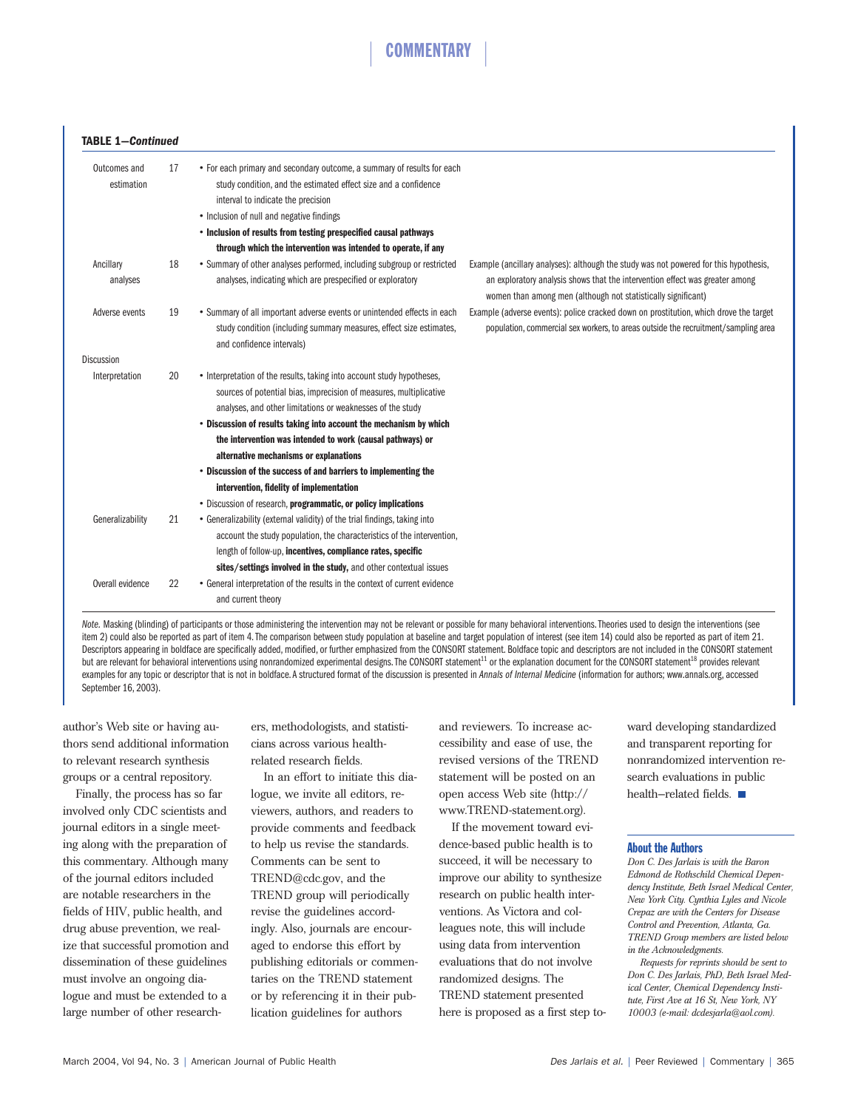# **COMMENTARY**

#### **TABLE 1—***Continued*

| Outcomes and<br>estimation | 17 | • For each primary and secondary outcome, a summary of results for each<br>study condition, and the estimated effect size and a confidence<br>interval to indicate the precision<br>• Inclusion of null and negative findings<br>• Inclusion of results from testing prespecified causal pathways<br>through which the intervention was intended to operate, if any |                                                                                                                                                                                                                                        |
|----------------------------|----|---------------------------------------------------------------------------------------------------------------------------------------------------------------------------------------------------------------------------------------------------------------------------------------------------------------------------------------------------------------------|----------------------------------------------------------------------------------------------------------------------------------------------------------------------------------------------------------------------------------------|
| Ancillary<br>analyses      | 18 | • Summary of other analyses performed, including subgroup or restricted<br>analyses, indicating which are prespecified or exploratory                                                                                                                                                                                                                               | Example (ancillary analyses): although the study was not powered for this hypothesis,<br>an exploratory analysis shows that the intervention effect was greater among<br>women than among men (although not statistically significant) |
| Adverse events             | 19 | • Summary of all important adverse events or unintended effects in each<br>study condition (including summary measures, effect size estimates,<br>and confidence intervals)                                                                                                                                                                                         | Example (adverse events): police cracked down on prostitution, which drove the target<br>population, commercial sex workers, to areas outside the recruitment/sampling area                                                            |
| <b>Discussion</b>          |    |                                                                                                                                                                                                                                                                                                                                                                     |                                                                                                                                                                                                                                        |
| Interpretation             | 20 | • Interpretation of the results, taking into account study hypotheses,<br>sources of potential bias, imprecision of measures, multiplicative<br>analyses, and other limitations or weaknesses of the study                                                                                                                                                          |                                                                                                                                                                                                                                        |
|                            |    | • Discussion of results taking into account the mechanism by which<br>the intervention was intended to work (causal pathways) or<br>alternative mechanisms or explanations                                                                                                                                                                                          |                                                                                                                                                                                                                                        |
|                            |    | • Discussion of the success of and barriers to implementing the<br>intervention, fidelity of implementation                                                                                                                                                                                                                                                         |                                                                                                                                                                                                                                        |
|                            |    | • Discussion of research, programmatic, or policy implications                                                                                                                                                                                                                                                                                                      |                                                                                                                                                                                                                                        |
| Generalizability           | 21 | • Generalizability (external validity) of the trial findings, taking into<br>account the study population, the characteristics of the intervention,<br>length of follow-up, incentives, compliance rates, specific                                                                                                                                                  |                                                                                                                                                                                                                                        |
| Overall evidence           | 22 | sites/settings involved in the study, and other contextual issues<br>• General interpretation of the results in the context of current evidence<br>and current theory                                                                                                                                                                                               |                                                                                                                                                                                                                                        |

*Note.* Masking (blinding) of participants or those administering the intervention may not be relevant or possible for many behavioral interventions. Theories used to design the interventions (see item 2) could also be reported as part of item 4. The comparison between study population at baseline and target population of interest (see item 14) could also be reported as part of item 21. Descriptors appearing in boldface are specifically added, modified, or further emphasized from the CONSORT statement. Boldface topic and descriptors are not included in the CONSORT statement but are relevant for behavioral interventions using nonrandomized experimental designs. The CONSORT statement<sup>11</sup> or the explanation document for the CONSORT statement<sup>18</sup> provides relevant examples for any topic or descriptor that is not in boldface. A structured format of the discussion is presented in Annals of Internal Medicine (information for authors; www.annals.org, accessed September 16, 2003).

author's Web site or having authors send additional information to relevant research synthesis groups or a central repository.

Finally, the process has so far involved only CDC scientists and journal editors in a single meeting along with the preparation of this commentary. Although many of the journal editors included are notable researchers in the fields of HIV, public health, and drug abuse prevention, we realize that successful promotion and dissemination of these guidelines must involve an ongoing dialogue and must be extended to a large number of other research-

ers, methodologists, and statisticians across various healthrelated research fields.

In an effort to initiate this dialogue, we invite all editors, reviewers, authors, and readers to provide comments and feedback to help us revise the standards. Comments can be sent to TREND@cdc.gov, and the TREND group will periodically revise the guidelines accordingly. Also, journals are encouraged to endorse this effort by publishing editorials or commentaries on the TREND statement or by referencing it in their publication guidelines for authors

and reviewers. To increase accessibility and ease of use, the revised versions of the TREND statement will be posted on an open access Web site (http:// www.TREND-statement.org).

If the movement toward evidence-based public health is to succeed, it will be necessary to improve our ability to synthesize research on public health interventions. As Victora and colleagues note, this will include using data from intervention evaluations that do not involve randomized designs. The TREND statement presented here is proposed as a first step toward developing standardized and transparent reporting for nonrandomized intervention research evaluations in public health–related fields.

#### About the Authors

*Don C. Des Jarlais is with the Baron Edmond de Rothschild Chemical Dependency Institute, Beth Israel Medical Center, New York City. Cynthia Lyles and Nicole Crepaz are with the Centers for Disease Control and Prevention, Atlanta, Ga. TREND Group members are listed below in the Acknowledgments.*

*Requests for reprints should be sent to Don C. Des Jarlais, PhD, Beth Israel Medical Center, Chemical Dependency Institute, First Ave at 16 St, New York, NY 10003 (e-mail: dcdesjarla@aol.com).*